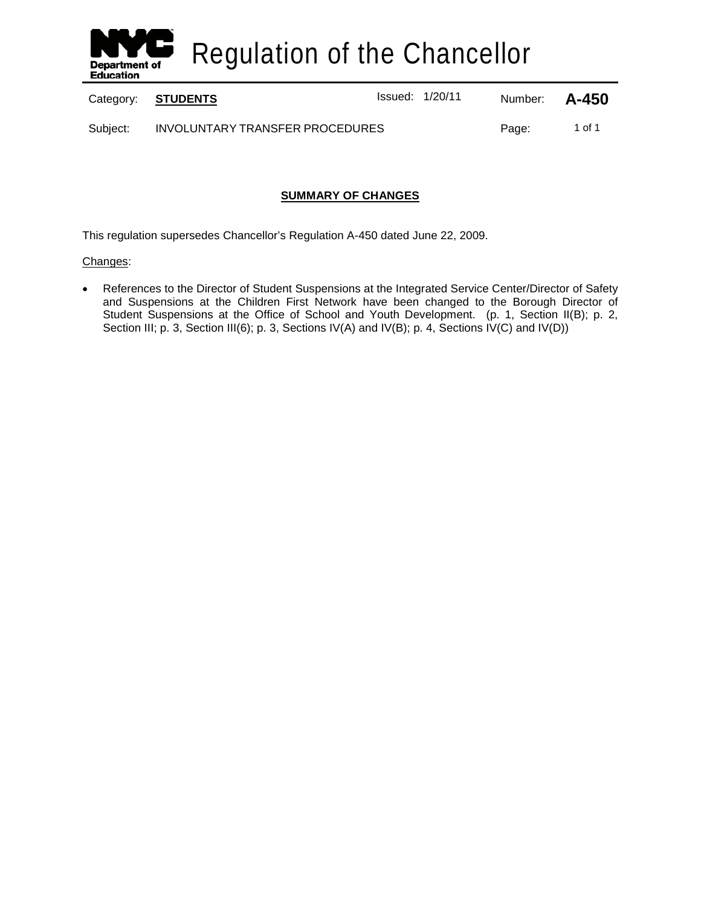

Regulation of the Chancellor

Category: **STUDENTS ISSUED:** Issued: 1/20/11 Number: **A-450** 

Subject: INVOLUNTARY TRANSFER PROCEDURES Page: 1 of 1

# **SUMMARY OF CHANGES**

This regulation supersedes Chancellor's Regulation A-450 dated June 22, 2009.

## Changes:

• References to the Director of Student Suspensions at the Integrated Service Center/Director of Safety and Suspensions at the Children First Network have been changed to the Borough Director of Student Suspensions at the Office of School and Youth Development. (p. 1, Section II(B); p. 2, Section III; p. 3, Section III(6); p. 3, Sections IV(A) and IV(B); p. 4, Sections IV(C) and IV(D))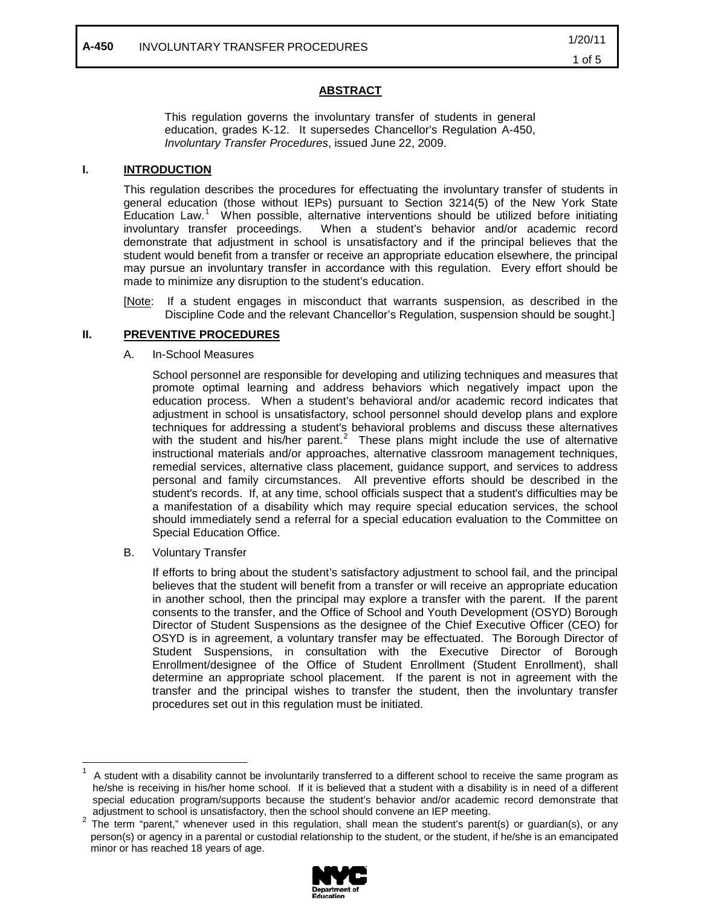### **ABSTRACT**

This regulation governs the involuntary transfer of students in general education, grades K-12. It supersedes Chancellor's Regulation A-450, *Involuntary Transfer Procedures*, issued June 22, 2009.

#### **I. INTRODUCTION**

This regulation describes the procedures for effectuating the involuntary transfer of students in general education (those without IEPs) pursuant to Section 3214(5) of the New York State Education Law.<sup>[1](#page-1-0)</sup> When possible, alternative interventions should be utilized before initiating involuntary transfer proceedings. When a student's behavior and/or academic record demonstrate that adjustment in school is unsatisfactory and if the principal believes that the student would benefit from a transfer or receive an appropriate education elsewhere, the principal may pursue an involuntary transfer in accordance with this regulation. Every effort should be made to minimize any disruption to the student's education.

[Note: If a student engages in misconduct that warrants suspension, as described in the Discipline Code and the relevant Chancellor's Regulation, suspension should be sought.]

#### **II. PREVENTIVE PROCEDURES**

#### A. In-School Measures

School personnel are responsible for developing and utilizing techniques and measures that promote optimal learning and address behaviors which negatively impact upon the education process. When a student's behavioral and/or academic record indicates that adjustment in school is unsatisfactory, school personnel should develop plans and explore techniques for addressing a student's behavioral problems and discuss these alternatives with the student and his/her parent.<sup>[2](#page-1-1)</sup> These plans might include the use of alternative instructional materials and/or approaches, alternative classroom management techniques, remedial services, alternative class placement, guidance support, and services to address personal and family circumstances. All preventive efforts should be described in the student's records. If, at any time, school officials suspect that a student's difficulties may be a manifestation of a disability which may require special education services, the school should immediately send a referral for a special education evaluation to the Committee on Special Education Office.

B. Voluntary Transfer

If efforts to bring about the student's satisfactory adjustment to school fail, and the principal believes that the student will benefit from a transfer or will receive an appropriate education in another school, then the principal may explore a transfer with the parent. If the parent consents to the transfer, and the Office of School and Youth Development (OSYD) Borough Director of Student Suspensions as the designee of the Chief Executive Officer (CEO) for OSYD is in agreement, a voluntary transfer may be effectuated. The Borough Director of Student Suspensions, in consultation with the Executive Director of Borough Enrollment/designee of the Office of Student Enrollment (Student Enrollment), shall determine an appropriate school placement. If the parent is not in agreement with the transfer and the principal wishes to transfer the student, then the involuntary transfer procedures set out in this regulation must be initiated.

<span id="page-1-1"></span>adjustment to school is unsatisfactory, then the school should convene an IEP meeting.<br><sup>2</sup> The term "parent," whenever used in this regulation, shall mean the student's parent(s) or guardian(s), or any person(s) or agency in a parental or custodial relationship to the student, or the student, if he/she is an emancipated minor or has reached 18 years of age.



<span id="page-1-0"></span> <sup>1</sup> A student with a disability cannot be involuntarily transferred to a different school to receive the same program as he/she is receiving in his/her home school. If it is believed that a student with a disability is in need of a different special education program/supports because the student's behavior and/or academic record demonstrate that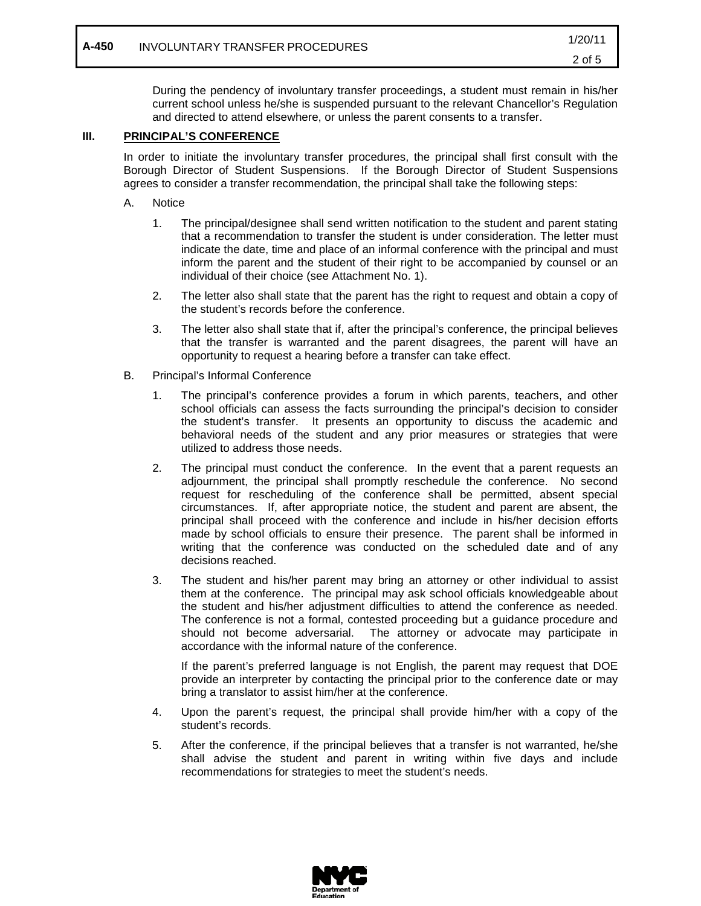During the pendency of involuntary transfer proceedings, a student must remain in his/her current school unless he/she is suspended pursuant to the relevant Chancellor's Regulation and directed to attend elsewhere, or unless the parent consents to a transfer.

#### **III. PRINCIPAL'S CONFERENCE**

In order to initiate the involuntary transfer procedures, the principal shall first consult with the Borough Director of Student Suspensions. If the Borough Director of Student Suspensions agrees to consider a transfer recommendation, the principal shall take the following steps:

- A. Notice
	- 1. The principal/designee shall send written notification to the student and parent stating that a recommendation to transfer the student is under consideration. The letter must indicate the date, time and place of an informal conference with the principal and must inform the parent and the student of their right to be accompanied by counsel or an individual of their choice (see Attachment No. 1).
	- 2. The letter also shall state that the parent has the right to request and obtain a copy of the student's records before the conference.
	- 3. The letter also shall state that if, after the principal's conference, the principal believes that the transfer is warranted and the parent disagrees, the parent will have an opportunity to request a hearing before a transfer can take effect.
- B. Principal's Informal Conference
	- 1. The principal's conference provides a forum in which parents, teachers, and other school officials can assess the facts surrounding the principal's decision to consider the student's transfer. It presents an opportunity to discuss the academic and behavioral needs of the student and any prior measures or strategies that were utilized to address those needs.
	- 2. The principal must conduct the conference. In the event that a parent requests an adjournment, the principal shall promptly reschedule the conference. No second request for rescheduling of the conference shall be permitted, absent special circumstances. If, after appropriate notice, the student and parent are absent, the principal shall proceed with the conference and include in his/her decision efforts made by school officials to ensure their presence. The parent shall be informed in writing that the conference was conducted on the scheduled date and of any decisions reached.
	- 3. The student and his/her parent may bring an attorney or other individual to assist them at the conference. The principal may ask school officials knowledgeable about the student and his/her adjustment difficulties to attend the conference as needed. The conference is not a formal, contested proceeding but a guidance procedure and should not become adversarial. The attorney or advocate may participate in accordance with the informal nature of the conference.

If the parent's preferred language is not English, the parent may request that DOE provide an interpreter by contacting the principal prior to the conference date or may bring a translator to assist him/her at the conference.

- 4. Upon the parent's request, the principal shall provide him/her with a copy of the student's records.
- 5. After the conference, if the principal believes that a transfer is not warranted, he/she shall advise the student and parent in writing within five days and include recommendations for strategies to meet the student's needs.

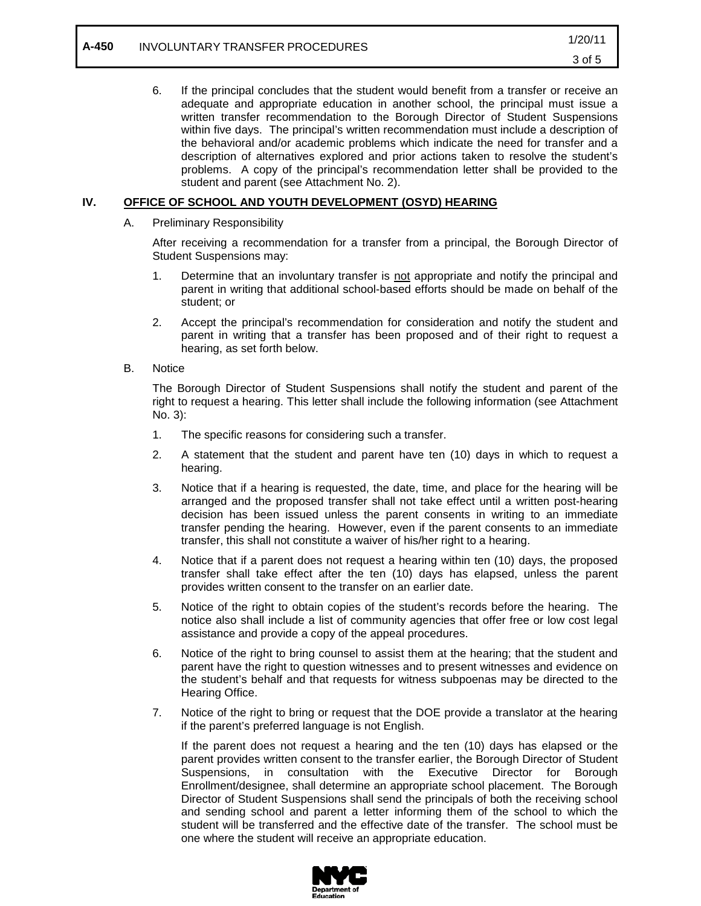6. If the principal concludes that the student would benefit from a transfer or receive an adequate and appropriate education in another school, the principal must issue a written transfer recommendation to the Borough Director of Student Suspensions within five days. The principal's written recommendation must include a description of the behavioral and/or academic problems which indicate the need for transfer and a description of alternatives explored and prior actions taken to resolve the student's problems. A copy of the principal's recommendation letter shall be provided to the student and parent (see Attachment No. 2).

## **IV. OFFICE OF SCHOOL AND YOUTH DEVELOPMENT (OSYD) HEARING**

A. Preliminary Responsibility

After receiving a recommendation for a transfer from a principal, the Borough Director of Student Suspensions may:

- 1. Determine that an involuntary transfer is not appropriate and notify the principal and parent in writing that additional school-based efforts should be made on behalf of the student; or
- 2. Accept the principal's recommendation for consideration and notify the student and parent in writing that a transfer has been proposed and of their right to request a hearing, as set forth below.
- B. Notice

The Borough Director of Student Suspensions shall notify the student and parent of the right to request a hearing. This letter shall include the following information (see Attachment No. 3):

- 1. The specific reasons for considering such a transfer.
- 2. A statement that the student and parent have ten (10) days in which to request a hearing.
- 3. Notice that if a hearing is requested, the date, time, and place for the hearing will be arranged and the proposed transfer shall not take effect until a written post-hearing decision has been issued unless the parent consents in writing to an immediate transfer pending the hearing. However, even if the parent consents to an immediate transfer, this shall not constitute a waiver of his/her right to a hearing.
- 4. Notice that if a parent does not request a hearing within ten (10) days, the proposed transfer shall take effect after the ten (10) days has elapsed, unless the parent provides written consent to the transfer on an earlier date.
- 5. Notice of the right to obtain copies of the student's records before the hearing. The notice also shall include a list of community agencies that offer free or low cost legal assistance and provide a copy of the appeal procedures.
- 6. Notice of the right to bring counsel to assist them at the hearing; that the student and parent have the right to question witnesses and to present witnesses and evidence on the student's behalf and that requests for witness subpoenas may be directed to the Hearing Office.
- 7. Notice of the right to bring or request that the DOE provide a translator at the hearing if the parent's preferred language is not English.

If the parent does not request a hearing and the ten (10) days has elapsed or the parent provides written consent to the transfer earlier, the Borough Director of Student Suspensions, in consultation with the Executive Director for Borough Enrollment/designee, shall determine an appropriate school placement. The Borough Director of Student Suspensions shall send the principals of both the receiving school and sending school and parent a letter informing them of the school to which the student will be transferred and the effective date of the transfer. The school must be one where the student will receive an appropriate education.

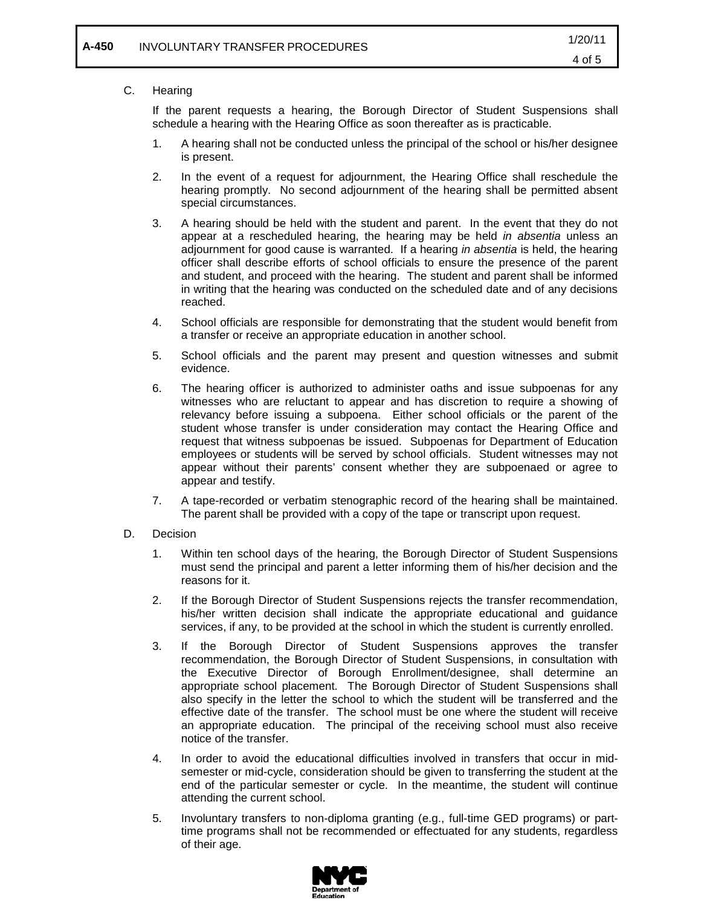## C. Hearing

If the parent requests a hearing, the Borough Director of Student Suspensions shall schedule a hearing with the Hearing Office as soon thereafter as is practicable.

- 1. A hearing shall not be conducted unless the principal of the school or his/her designee is present.
- 2. In the event of a request for adjournment, the Hearing Office shall reschedule the hearing promptly. No second adjournment of the hearing shall be permitted absent special circumstances.
- 3. A hearing should be held with the student and parent. In the event that they do not appear at a rescheduled hearing, the hearing may be held *in absentia* unless an adjournment for good cause is warranted. If a hearing *in absentia* is held, the hearing officer shall describe efforts of school officials to ensure the presence of the parent and student, and proceed with the hearing. The student and parent shall be informed in writing that the hearing was conducted on the scheduled date and of any decisions reached.
- 4. School officials are responsible for demonstrating that the student would benefit from a transfer or receive an appropriate education in another school.
- 5. School officials and the parent may present and question witnesses and submit evidence.
- 6. The hearing officer is authorized to administer oaths and issue subpoenas for any witnesses who are reluctant to appear and has discretion to require a showing of relevancy before issuing a subpoena. Either school officials or the parent of the student whose transfer is under consideration may contact the Hearing Office and request that witness subpoenas be issued. Subpoenas for Department of Education employees or students will be served by school officials. Student witnesses may not appear without their parents' consent whether they are subpoenaed or agree to appear and testify.
- 7. A tape-recorded or verbatim stenographic record of the hearing shall be maintained. The parent shall be provided with a copy of the tape or transcript upon request.
- D. Decision
	- 1. Within ten school days of the hearing, the Borough Director of Student Suspensions must send the principal and parent a letter informing them of his/her decision and the reasons for it.
	- 2. If the Borough Director of Student Suspensions rejects the transfer recommendation, his/her written decision shall indicate the appropriate educational and guidance services, if any, to be provided at the school in which the student is currently enrolled.
	- 3. If the Borough Director of Student Suspensions approves the transfer recommendation, the Borough Director of Student Suspensions, in consultation with the Executive Director of Borough Enrollment/designee, shall determine an appropriate school placement. The Borough Director of Student Suspensions shall also specify in the letter the school to which the student will be transferred and the effective date of the transfer. The school must be one where the student will receive an appropriate education. The principal of the receiving school must also receive notice of the transfer.
	- 4. In order to avoid the educational difficulties involved in transfers that occur in midsemester or mid-cycle, consideration should be given to transferring the student at the end of the particular semester or cycle. In the meantime, the student will continue attending the current school.
	- 5. Involuntary transfers to non-diploma granting (e.g., full-time GED programs) or parttime programs shall not be recommended or effectuated for any students, regardless of their age.

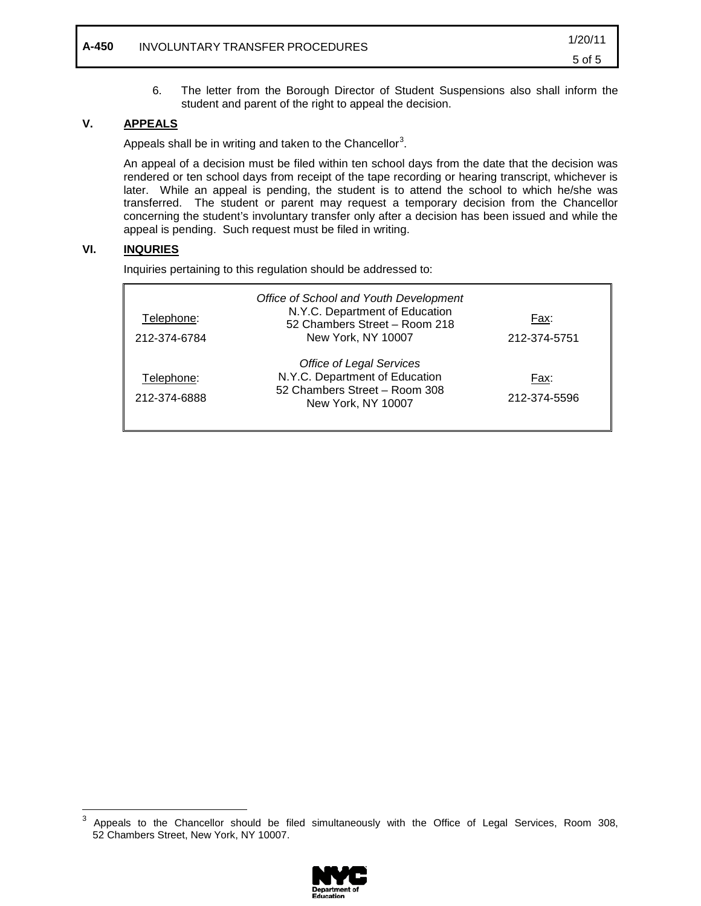6. The letter from the Borough Director of Student Suspensions also shall inform the student and parent of the right to appeal the decision.

## **V. APPEALS**

Appeals shall be in writing and taken to the Chancellor<sup>[3](#page-5-0)</sup>.

An appeal of a decision must be filed within ten school days from the date that the decision was rendered or ten school days from receipt of the tape recording or hearing transcript, whichever is later. While an appeal is pending, the student is to attend the school to which he/she was transferred. The student or parent may request a temporary decision from the Chancellor concerning the student's involuntary transfer only after a decision has been issued and while the appeal is pending. Such request must be filed in writing.

# **VI. INQURIES**

Inquiries pertaining to this regulation should be addressed to:

| Telephone:<br>212-374-6784 | Office of School and Youth Development<br>N.Y.C. Department of Education<br>52 Chambers Street - Room 218<br>New York, NY 10007 | Fax:<br>212-374-5751 |
|----------------------------|---------------------------------------------------------------------------------------------------------------------------------|----------------------|
| Telephone:<br>212-374-6888 | <b>Office of Legal Services</b><br>N.Y.C. Department of Education<br>52 Chambers Street - Room 308<br>New York, NY 10007        | Fax:<br>212-374-5596 |

<span id="page-5-0"></span><sup>&</sup>lt;sup>3</sup> Appeals to the Chancellor should be filed simultaneously with the Office of Legal Services, Room 308, 52 Chambers Street, New York, NY 10007.

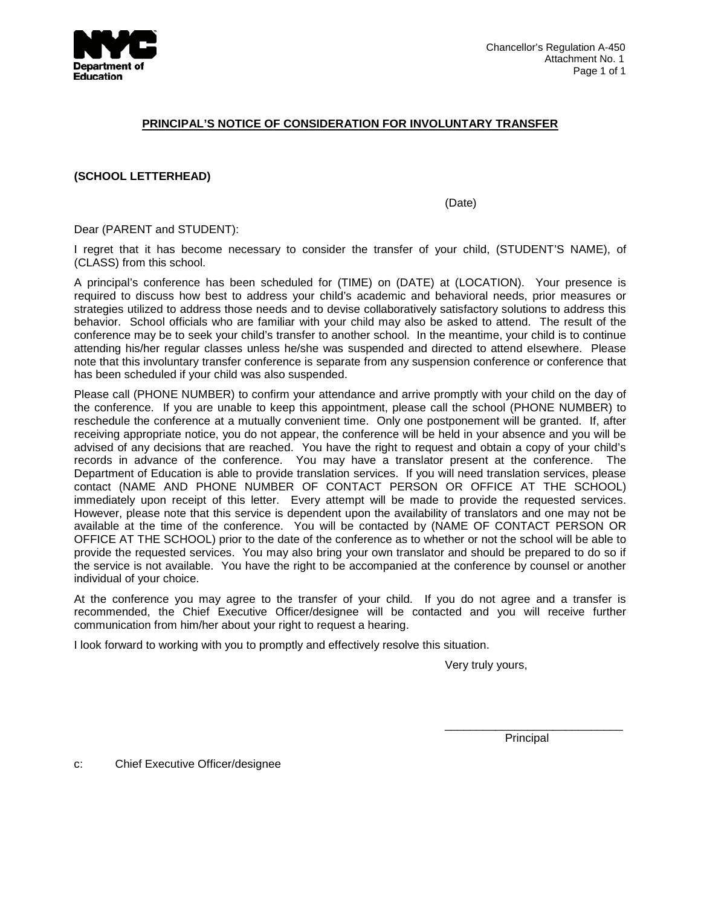

### **PRINCIPAL'S NOTICE OF CONSIDERATION FOR INVOLUNTARY TRANSFER**

**(SCHOOL LETTERHEAD)**

(Date)

Dear (PARENT and STUDENT):

I regret that it has become necessary to consider the transfer of your child, (STUDENT'S NAME), of (CLASS) from this school.

A principal's conference has been scheduled for (TIME) on (DATE) at (LOCATION). Your presence is required to discuss how best to address your child's academic and behavioral needs, prior measures or strategies utilized to address those needs and to devise collaboratively satisfactory solutions to address this behavior. School officials who are familiar with your child may also be asked to attend. The result of the conference may be to seek your child's transfer to another school. In the meantime, your child is to continue attending his/her regular classes unless he/she was suspended and directed to attend elsewhere. Please note that this involuntary transfer conference is separate from any suspension conference or conference that has been scheduled if your child was also suspended.

Please call (PHONE NUMBER) to confirm your attendance and arrive promptly with your child on the day of the conference. If you are unable to keep this appointment, please call the school (PHONE NUMBER) to reschedule the conference at a mutually convenient time. Only one postponement will be granted. If, after receiving appropriate notice, you do not appear, the conference will be held in your absence and you will be advised of any decisions that are reached. You have the right to request and obtain a copy of your child's records in advance of the conference. You may have a translator present at the conference. The Department of Education is able to provide translation services. If you will need translation services, please contact (NAME AND PHONE NUMBER OF CONTACT PERSON OR OFFICE AT THE SCHOOL) immediately upon receipt of this letter. Every attempt will be made to provide the requested services. However, please note that this service is dependent upon the availability of translators and one may not be available at the time of the conference. You will be contacted by (NAME OF CONTACT PERSON OR OFFICE AT THE SCHOOL) prior to the date of the conference as to whether or not the school will be able to provide the requested services. You may also bring your own translator and should be prepared to do so if the service is not available. You have the right to be accompanied at the conference by counsel or another individual of your choice.

At the conference you may agree to the transfer of your child. If you do not agree and a transfer is recommended, the Chief Executive Officer/designee will be contacted and you will receive further communication from him/her about your right to request a hearing.

I look forward to working with you to promptly and effectively resolve this situation.

Very truly yours,

\_\_\_\_\_\_\_\_\_\_\_\_\_\_\_\_\_\_\_\_\_\_\_\_\_\_\_\_ Principal

c: Chief Executive Officer/designee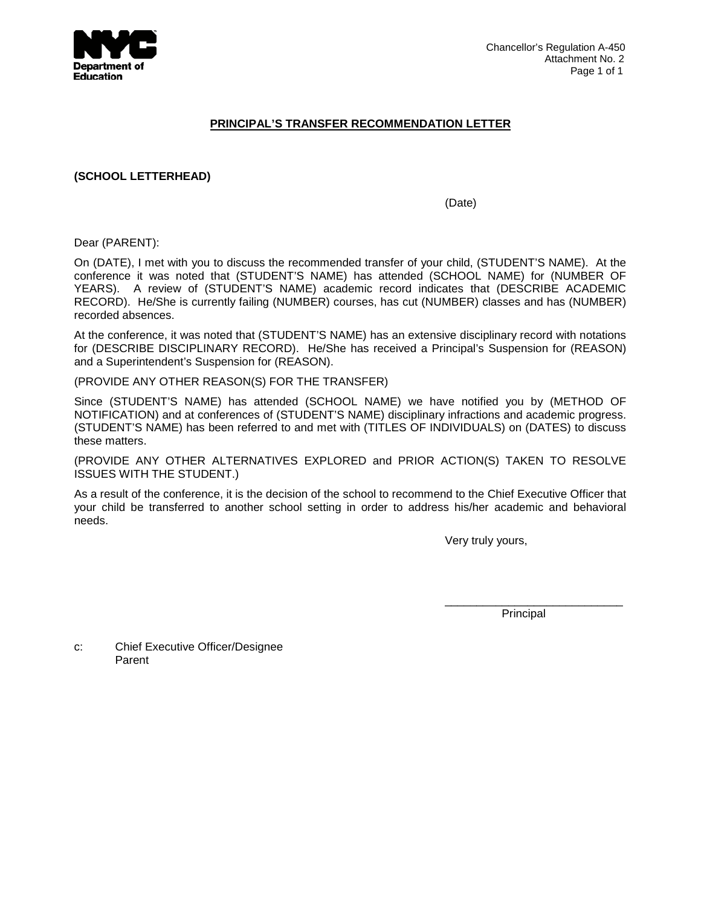

### **PRINCIPAL'S TRANSFER RECOMMENDATION LETTER**

## **(SCHOOL LETTERHEAD)**

(Date)

Dear (PARENT):

On (DATE), I met with you to discuss the recommended transfer of your child, (STUDENT'S NAME). At the conference it was noted that (STUDENT'S NAME) has attended (SCHOOL NAME) for (NUMBER OF YEARS). A review of (STUDENT'S NAME) academic record indicates that (DESCRIBE ACADEMIC RECORD). He/She is currently failing (NUMBER) courses, has cut (NUMBER) classes and has (NUMBER) recorded absences.

At the conference, it was noted that (STUDENT'S NAME) has an extensive disciplinary record with notations for (DESCRIBE DISCIPLINARY RECORD). He/She has received a Principal's Suspension for (REASON) and a Superintendent's Suspension for (REASON).

(PROVIDE ANY OTHER REASON(S) FOR THE TRANSFER)

Since (STUDENT'S NAME) has attended (SCHOOL NAME) we have notified you by (METHOD OF NOTIFICATION) and at conferences of (STUDENT'S NAME) disciplinary infractions and academic progress. (STUDENT'S NAME) has been referred to and met with (TITLES OF INDIVIDUALS) on (DATES) to discuss these matters.

(PROVIDE ANY OTHER ALTERNATIVES EXPLORED and PRIOR ACTION(S) TAKEN TO RESOLVE ISSUES WITH THE STUDENT.)

As a result of the conference, it is the decision of the school to recommend to the Chief Executive Officer that your child be transferred to another school setting in order to address his/her academic and behavioral needs.

Very truly yours,

Principal

\_\_\_\_\_\_\_\_\_\_\_\_\_\_\_\_\_\_\_\_\_\_\_\_\_\_\_\_

c: Chief Executive Officer/Designee Parent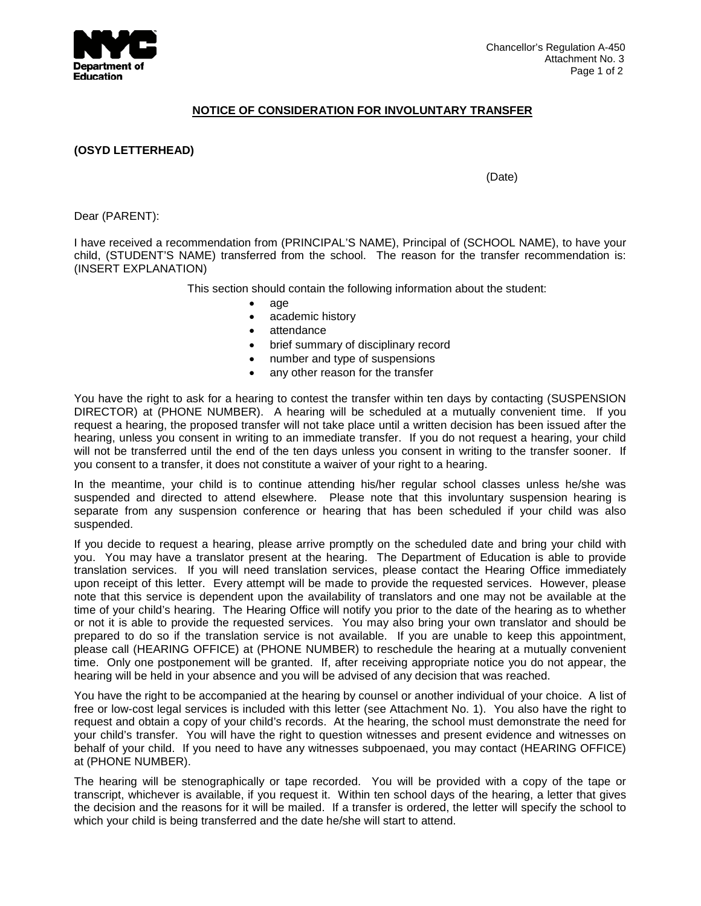

## **NOTICE OF CONSIDERATION FOR INVOLUNTARY TRANSFER**

**(OSYD LETTERHEAD)**

(Date)

Dear (PARENT):

I have received a recommendation from (PRINCIPAL'S NAME), Principal of (SCHOOL NAME), to have your child, (STUDENT'S NAME) transferred from the school. The reason for the transfer recommendation is: (INSERT EXPLANATION)

This section should contain the following information about the student:

- age
	- academic history
	- attendance
	- brief summary of disciplinary record
	- number and type of suspensions
	- any other reason for the transfer

You have the right to ask for a hearing to contest the transfer within ten days by contacting (SUSPENSION DIRECTOR) at (PHONE NUMBER). A hearing will be scheduled at a mutually convenient time. If you request a hearing, the proposed transfer will not take place until a written decision has been issued after the hearing, unless you consent in writing to an immediate transfer. If you do not request a hearing, your child will not be transferred until the end of the ten days unless you consent in writing to the transfer sooner. If you consent to a transfer, it does not constitute a waiver of your right to a hearing.

In the meantime, your child is to continue attending his/her regular school classes unless he/she was suspended and directed to attend elsewhere. Please note that this involuntary suspension hearing is separate from any suspension conference or hearing that has been scheduled if your child was also suspended.

If you decide to request a hearing, please arrive promptly on the scheduled date and bring your child with you. You may have a translator present at the hearing. The Department of Education is able to provide translation services. If you will need translation services, please contact the Hearing Office immediately upon receipt of this letter. Every attempt will be made to provide the requested services. However, please note that this service is dependent upon the availability of translators and one may not be available at the time of your child's hearing. The Hearing Office will notify you prior to the date of the hearing as to whether or not it is able to provide the requested services. You may also bring your own translator and should be prepared to do so if the translation service is not available. If you are unable to keep this appointment, please call (HEARING OFFICE) at (PHONE NUMBER) to reschedule the hearing at a mutually convenient time. Only one postponement will be granted. If, after receiving appropriate notice you do not appear, the hearing will be held in your absence and you will be advised of any decision that was reached.

You have the right to be accompanied at the hearing by counsel or another individual of your choice. A list of free or low-cost legal services is included with this letter (see Attachment No. 1). You also have the right to request and obtain a copy of your child's records. At the hearing, the school must demonstrate the need for your child's transfer. You will have the right to question witnesses and present evidence and witnesses on behalf of your child. If you need to have any witnesses subpoenaed, you may contact (HEARING OFFICE) at (PHONE NUMBER).

The hearing will be stenographically or tape recorded. You will be provided with a copy of the tape or transcript, whichever is available, if you request it. Within ten school days of the hearing, a letter that gives the decision and the reasons for it will be mailed. If a transfer is ordered, the letter will specify the school to which your child is being transferred and the date he/she will start to attend.